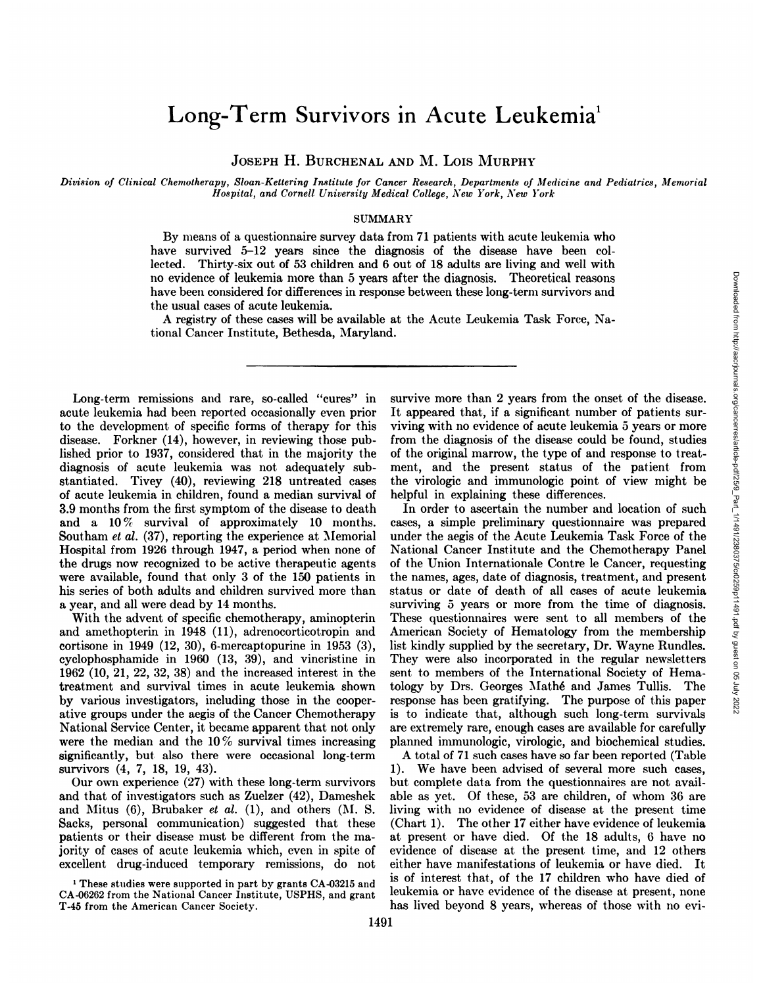# Long-Term Survivors in Acute Leukemia<sup>1</sup>

**JOSEPH H. BURCHENAL AND M. Lois MURPHY**

Division of Clinical Chemotherapy, Sloan-Kettering Institute for Cancer Research, Departments of Medicine and Pediatrics, Memorial *Hospital, and Cornell University Medical College, New York, New York*

## SUMMARY

By means of a questionnaire survey data from 71 patients with acute leukemia who have survived 5-12 years since the diagnosis of the disease have been collected. Thirty-six out of 53 children and 6 out of 18 adults are living and well with no evidence of leukemia more than 5 years after the diagnosis. Theoretical reasons have been considered for differences in response between these long-term survivors and the usual cases of acute leukemia.

**A registry of these cases will be available at the Acute Leukemia Task Force, Na** tional Cancer Institute, Bethesda, Maryland.

Long-term remissions and rare, so-called "cures" in acute leukemia had been reported occasionally even prior to the development of specific forms of therapy for this disease. Forkner (14), however, in reviewing those pub lished prior to 1937, considered that in the majority the diagnosis of acute leukemia was not adequately sub stantiated. Tivey (40), reviewing 218 untreated cases of acute leukemia in children, found a median survival of 3.9 months from the first symptom of the disease to death and a 10% survival of approximately 10 months. Southam et al. (37), reporting the experience at Memorial Hospital from 1926 through 1947, a period when none of the drugs now recognized to be active therapeutic agents were available, found that only 3 of the 150 patients in his series of both adults and children survived more than a year, and all were dead by 14 months.

**With the advent of specific chemotherapy, aminopterin** and amethopterin in 1948 (11), adrenocorticotropin and cortisone in 1949 (12, 30), 6-mercaptopurine in 1953 (3), cyclophosphamide in 1960 (13, 39), and vincristine in 1962 (10, 21, 22, 32, 38) and the increased interest in the treatment and survival times in acute leukemia shown by various investigators, including those in the cooper ative groups under the aegis of the Cancer Chemotherapy National Service Center, it became apparent that not only were the median and the 10% survival times increasing significantly, but. also there were occasional long-term survivors (4, 7, 18, 19, 43).

Our own experience (27) with these long-term survivors and that of investigators such as Zuelzer (42), Dameshek and Mitus  $(6)$ , Brubaker et al.  $(1)$ , and others  $(M. S.$ Sacks, personal communication) suggested that these patients or their disease must be different from the ma jonity of cases of acute leukemia which, even in spite of excellent drug-induced temporary remissions, do not

**1 These studies were supported in part by grants CA-03215 and** CA-06262 from the National Cancer Institute, USPHS, and grant T-45 from the American Cancer Society.

survive more than 2 years from the onset of the disease. viving with no evidence of acute leukemia 5 years or more from the diagnosis of the disease could be found, studies of the original marrow, the type of and response to treat ment, and the present status of the patient from the virologic and immunologic point of view might be helpful in explaining these differences.

From the diagnosis. Theoretical reasons and a significant three bong-term survivors and at the Acute Leukemia Task Force, Na-<br> **It appeared** that, if a significant number of patients surviving with no evidence of acute leu In order to ascertain the number and location of such cases, a simple preliminary questionnaire was prepared under the aegis of the Acute Leukemia Task Force of the National Cancer Institute and the Chemotherapy Panel of the Union Internationale Contre le Cancer, requesting the names, ages, date of diagnosis, treatment, and present status or date of death of all cases of acute leukemia surviving 5 years or more from the time of diagnosis. These questionnaires were sent to all members of the American Society of Hematology from the membership list kindly supplied by the secretary, Dr. Wayne Rundles. They were also incorporated in the regular newsletters sent to members of the International Society of Hema tology by Drs. Georges Mathé and James Tullis. The response has been gratifying. The purpose of this paper is to indicate that, although such long-term survivals are extremely rare, enough cases are available for carefully planned inrmunologic, virologic, and biochemical studies.

**A total of 71 such cases have so far been reported (Table 1). We have been advised of several more such cases,** but complete data from the questionnaires are not avail able as yet. Of these, 53 are children, of whom 36 are living with no evidence of disease at the present time (Chart 1). The other 17 either have evidence of leukemia at present or have died. Of the 18 adults, 6 have no evidence of disease at the present time, and 12 others either have manifestations of leukemia or have died. It is of interest that, of the 17 children who have died of leukemia or have evidence of the disease at present, none has lived beyond 8 years, whereas of those with no evi-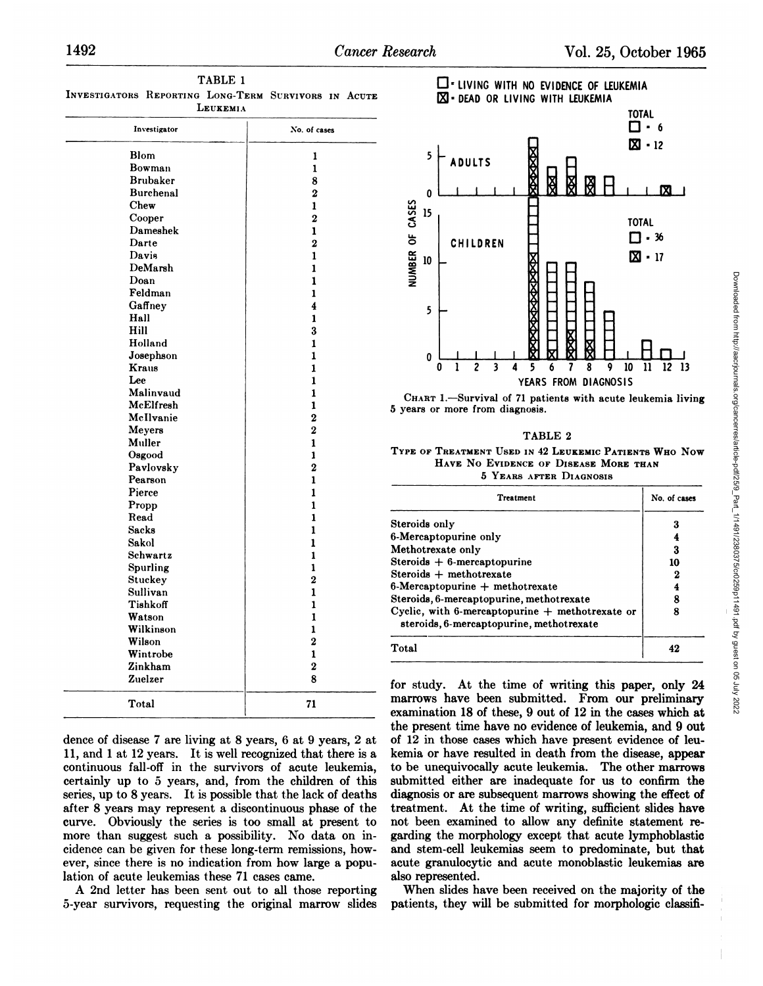| .                |                |
|------------------|----------------|
| Investigator     | No. of cases   |
| <b>Blom</b>      | 1              |
| Bowman           | 1              |
| <b>Brubaker</b>  | 8              |
| <b>Burchenal</b> | $\overline{2}$ |
| Chew             | 1              |
| Cooper           | $\overline{2}$ |
| Dameshek         | $\mathbf{1}$   |
| Darte            | $\overline{2}$ |
| Davis            | 1              |
| DeMarsh          | 1              |
| Doan             | 1              |
| Feldman          | 1              |
| Gaffney          | 4              |
| Hall             | $\mathbf{1}$   |
| Hill             | 3              |
| Holland          | 1              |
| Josephson        | 1              |
| Kraus            | 1              |
| Lee              | 1              |
| Malinvaud        | 1              |
| McElfresh        | 1              |
| McIlvanie        | $\overline{2}$ |
| Meyers           | $\overline{2}$ |
| Muller           | 1              |
| Osgood           | 1              |
| Pavlovsky        | $\mathbf 2$    |
| Pearson          | 1              |
| Pierce           | $\mathbf{1}$   |
| Propp            | 1              |
| Read             | 1              |
| <b>Sacks</b>     | 1              |
| Sakol            | 1              |
| Schwartz         | $\mathbf{1}$   |
| Spurling         | $\mathbf{1}$   |
| Stuckey          | $\overline{2}$ |
| Sullivan         | 1              |
| Tishkoff         | 1              |
| Watson           | 1              |
| Wilkinson        | 1              |
| Wilson           | $\mathbf 2$    |
| Wintrobe         | 1              |
| Zinkham          | $\bf{2}$       |
| Zuelzer          | 8              |
| Total            | 71             |

**TABLE 1 INVESTIGATORS REPORTING LONG-TERM SURVIVORS IN ACUTE LEUKEMIA**

dence of disease 7 are living at 8 years, 6 at 9 years, 2 at 11, and 1 at 12 years. It is well recognized that there is a continuous fall-off in the survivors of acute leukemia, certainly up to 5 years, and, from the children of this series, up to 8 years. It is possible that the lack of deaths after 8 years may represent a discontinuous phase of the curve. Obviously the series is too small at present to more than suggest such a possibility. No data on in cidence can be given for these long-term remissions, how ever, since there is no indication from how large a popu lation of acute leukemias these 71 cases came.

A 2nd letter has been sent out to all those reporting 5-year survivors, requesting the original marrow slides





#### **TABLE 2**

## **TYPE OF TREATMENT USED IN 42 LEUKEMIC PATIENTS WHO Now HAVE No EVIDENCE OF DISEASE MORE THAN 5** YEARS AFTER DIAGNOSIS

| ⋚<br>5<br>0<br>$\overline{c}$<br>3<br>ı<br>10<br>Q<br>Λ                                        | 11<br>12<br>13 |  |
|------------------------------------------------------------------------------------------------|----------------|--|
| YEARS FROM DIAGNOSIS                                                                           |                |  |
| CHART 1.-Survival of 71 patients with acute leukemia living<br>5 years or more from diagnosis. |                |  |
| TABLE 2<br>TYPE OF TREATMENT USED IN 42 LEUKEMIC PATIENTS WHO NOW                              |                |  |
|                                                                                                |                |  |
| HAVE NO EVIDENCE OF DISEASE MORE THAN                                                          |                |  |
| 5 YEARS AFTER DIAGNOSIS                                                                        |                |  |
| Treatment                                                                                      | No. of cases   |  |
|                                                                                                | 3              |  |
| Steroids only<br>6-Mercaptopurine only                                                         | 4              |  |
| Methotrexate only                                                                              | 3              |  |
| Steroids $+$ 6-mercaptopurine                                                                  | 10             |  |
| $Steroids + methotrexate$                                                                      | 2              |  |
| $6$ -Mercaptopurine $+$ methotrexate                                                           | 4              |  |
| Steroids, 6-mercaptopurine, methotrexate                                                       | 8              |  |
| Cyclic, with 6-mercaptopurine $+$ methotrexate or<br>steroids, 6-mercaptopurine, methotrexate  | 8              |  |

for study. At the time of writing this paper, only 24 marrows have been submitted. From our preliminary examination 18 of these, 9 out of 12 in the cases which at the present time have no evidence of leukemia, and 9 out of 12 in those cases which have present evidence of leu kemia or have resulted in death from the disease, appear to be unequivocally acute leukemia. The other marrows submitted either are inadequate for us to confirm the diagnosis or are subsequent marrows showing the effect of treatment. At the time of writing, sufficient slides have not been examined to allow any definite statement re garding the morphology except that acute lymphoblastic and stem-cell leukemias seem to predominate, but that acute granulocytic and acute monoblastic leukemias are also represented.

When slides have been received on the majority of the patients, they will be submitted for morphologic classifi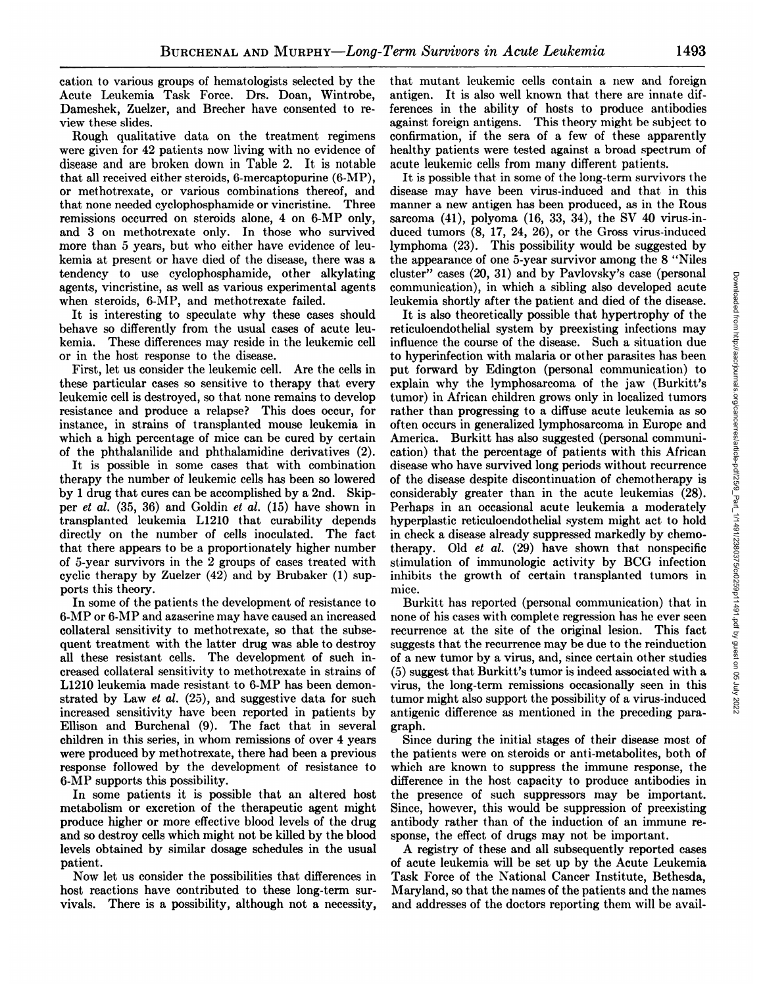cation to various groups of hematologists selected by the Acute Leukemia Task Force. Drs. Doan, Wintrobe, Dameshek, Zuelzer, and Brechen have consented to re view these slides.

Rough qualitative data on the treatment regimens were given for 42 patients now living with no evidence of disease and are broken down in Table 2. It is notable that all received either steroids, 6-mercaptopurine (6-MP), or methotrexate, or various combinations thereof, and that none needed cyclophosphamide or vincristine. Three remissions occurred on steroids alone, 4 on 6-MP only, and 3 on methotrexate only. In those who survived more than 5 years, but who either have evidence of leu kemia at present or have died of the disease, there was a tendency to use cyclophosphamide, other alkylating agents, vincristine, as well as various experimental agents when steroids, 6-MP, and methotrexate failed.

It is interesting to speculate why these cases should behave so differently from the usual cases of acute leu kemia. These differences may reside in the leukemic cell or in the host response to the disease.

First, let us consider the leukemic cell. Are the cells in these particular cases so sensitive to therapy that every leukemic cell is destroyed, so that none remains to develop resistance and produce a relapse? This does occur, for instance, in strains of transplanted mouse leukemia in which a high percentage of mice can be cured by certain of the phthalanilide and phthalamidine derivatives (2).

It is possible in some cases that with combination therapy the number of leukemic cells has been so lowered by 1 drug that cures can be accomplished by a 2nd. Skip per et al.  $(35, 36)$  and Goldin et al.  $(15)$  have shown in transplanted leukemia L1210 that curability depends directly on the number of cells inoculated. The fact that there appears to be a proportionately higher number of 5-year survivors in the 2 groups of cases treated with cyclic therapy by Zuelzer (42) and by Brubaker (1) supports this theory.

In some of the patients the development of resistance to 6-MP on 6-MP and azaserine may have caused an increased collateral sensitivity to methotrexate, so that the subse quent treatment with the latter drug was able to destroy all these resistant cells. The development of such in creased collateral sensitivity to methotrexate in strains of **L1210 leukemia made resistant to 6-MP has been demon** strated by Law et al. (25), and suggestive data for such increased sensitivity have been reported in patients by Ellison and Burchenal (9). The fact that in several children in this series, in whom remissions of over 4 years were produced by methotrexate, there had been a previous response followed by the development of resistance to **6-MP supports this possibility.**

In some patients it is possible that an altered host metabolism or excretion of the therapeutic agent might produce higher or more effective blood levels of the drug and so destroy cells which might not be killed by the blood levels obtained by similar dosage schedules in the usual patient.

Now let us consider the possibilities that differences in host reactions have contributed to these long-term sur vivals. There is a possibility, although not a necessity,

that mutant leukemic cells contain a new and foreign antigen. It is also well known that there are innate dif ferences in the ability of hosts to produce antibodies against foreign antigens. This theory might be subject to confirmation, if the sera of a few of these apparently healthy patients were tested against a broad spectrum of acute leukemic cells from many different patients.

It is possible that in some of the long-term survivors the disease may have been virus-induced and that in this manner a new antigen has been produced, as in the Rous sarcoma  $(41)$ , polyoma  $(16, 33, 34)$ , the SV 40 virus-induced tumors (8, 17, 24, 26), or the Gross virus-induced lymphoma (23). This possibility would be suggested by the appearance of one 5-year survivor among the 8 "Niles cluster" cases  $(20, 31)$  and by Pavlovsky's case (personal leukemia shortly after the patient and died of the disease.

culter" cases (20, 31) and by Paviovsky's case (personal<br>communication), in which a sibling also developed acute<br>leukemia shortly after the patient and died of the disease.<br>It is also theoretically possible that hyper-tro **It is also theoretically possible that hypertrophy of the** reticuloendothelial system by preexisting infections may influence the course of the disease. Such a situation due to hyperinfection with malaria or other parasites has been put forward by Edington (personal communication) to explain why the lymphosarcoma of the jaw (Burkitt's tumor) in African children grows only in localized tumors rather than progressing to a diffuse acute leukemia as so often occurs in generalized lymphosarcoma in Europe and America. Burkitt has also suggested (personal communi cation) that the percentage of patients with this African disease who have survived long periods without recurrence of the disease despite discontinuation of chemotherapy is considerably greater than in the acute leukemias (28). Perhaps in an occasional acute leukemia a moderately hyperplastic reticuloendothelial system might act to hold in check a disease already suppressed markedly by chemo therapy. Old et al. (29) have shown that nonspecific stimulation of immunologic activity by BCG infection inhibits the growth of certain transplanted tumors in mice.

Burkitt has reported (personal communication) that in none of his cases with complete regression has he ever seen recurrence at the site of the original lesion. This fact suggests that the recurrence may be due to the reinduction of a new tumorby a virus, and, since certain other studies (5) suggest that Burkitt's tumor is indeed associated with a virus, the long-term remissions occasionally seen in this tumor might also support the possibility of a virus-induced antigenic difference as mentioned in the preceding para graph.

Since during the initial stages of their disease most of the patients were on steroids or anti-metabolites, both of which are known to suppress the immune response, the difference in the host capacity to produce antibodies in the presence of such suppressors may be important. Since, however, this would be suppression of preexisting antibody rather than of the induction of an immune re sponse, the effect of drugs may not be important.

**A registry of these and all subsequently reported cases** of acute leukemia wifi be set up by the Acute Leukemia Task Force of the National Cancer Institute, Bethesda, Maryland, so that the names of the patients and the names and addresses of the doctors reporting them will be avail